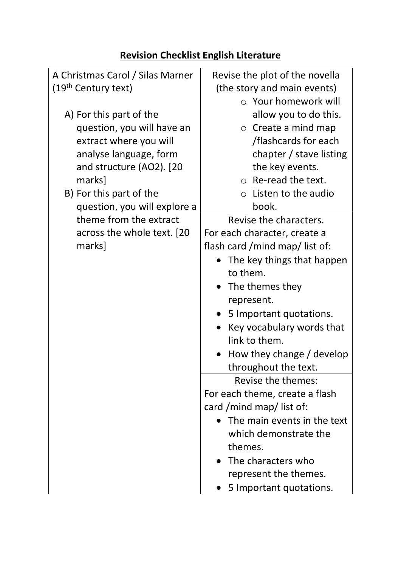## **Revision Checklist English Literature**

| A Christmas Carol / Silas Marner | Revise the plot of the novella       |
|----------------------------------|--------------------------------------|
| (19 <sup>th</sup> Century text)  | (the story and main events)          |
|                                  | ○ Your homework will                 |
|                                  |                                      |
| A) For this part of the          | allow you to do this.                |
| question, you will have an       | $\circ$ Create a mind map            |
| extract where you will           | /flashcards for each                 |
| analyse language, form           | chapter / stave listing              |
| and structure (AO2). [20         | the key events.                      |
| marks]                           | $\circ$ Re-read the text.            |
| B) For this part of the          | Listen to the audio<br>$\circ$       |
| question, you will explore a     | book.                                |
| theme from the extract           | Revise the characters.               |
| across the whole text. [20]      | For each character, create a         |
| marks]                           | flash card /mind map/ list of:       |
|                                  | The key things that happen           |
|                                  | to them.                             |
|                                  | The themes they                      |
|                                  | represent.                           |
|                                  | 5 Important quotations.<br>$\bullet$ |
|                                  | Key vocabulary words that            |
|                                  | link to them.                        |
|                                  | How they change / develop            |
|                                  | throughout the text.                 |
|                                  | Revise the themes:                   |
|                                  | For each theme, create a flash       |
|                                  | card /mind map/ list of:             |
|                                  | The main events in the text          |
|                                  | which demonstrate the                |
|                                  | themes.                              |
|                                  | The characters who                   |
|                                  |                                      |
|                                  | represent the themes.                |
|                                  | 5 Important quotations.              |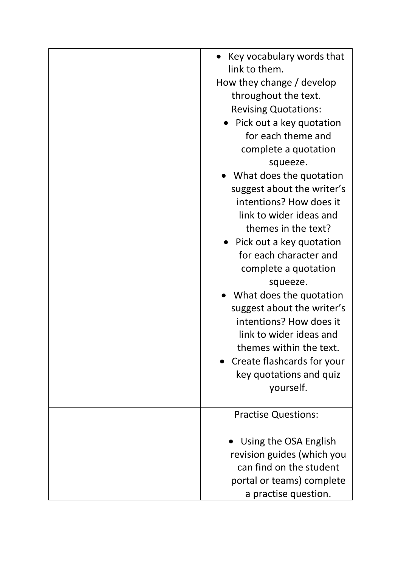| Key vocabulary words that<br>link to them. |
|--------------------------------------------|
|                                            |
| How they change / develop                  |
| throughout the text.                       |
| <b>Revising Quotations:</b>                |
| Pick out a key quotation                   |
| for each theme and                         |
| complete a quotation                       |
| squeeze.                                   |
| What does the quotation                    |
| suggest about the writer's                 |
| intentions? How does it                    |
| link to wider ideas and                    |
| themes in the text?                        |
| • Pick out a key quotation                 |
| for each character and                     |
| complete a quotation                       |
| squeeze.                                   |
| What does the quotation                    |
| suggest about the writer's                 |
| intentions? How does it                    |
| link to wider ideas and                    |
| themes within the text.                    |
| Create flashcards for your                 |
| key quotations and quiz                    |
| yourself.                                  |
|                                            |
| <b>Practise Questions:</b>                 |
|                                            |
| Using the OSA English                      |
| revision guides (which you                 |
| can find on the student                    |
| portal or teams) complete                  |
| a practise question.                       |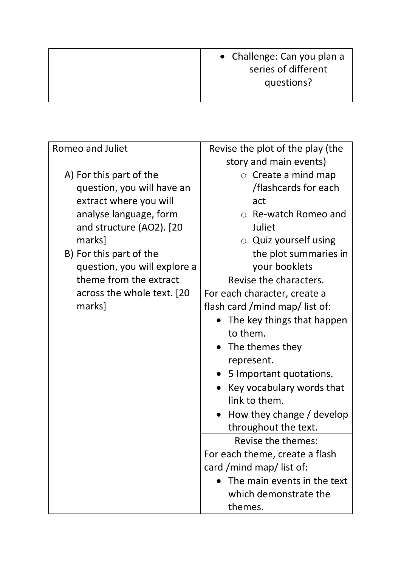| • Challenge: Can you plan a<br>series of different |
|----------------------------------------------------|
| questions?                                         |

| Romeo and Juliet             | Revise the plot of the play (the |
|------------------------------|----------------------------------|
|                              | story and main events)           |
| A) For this part of the      | Create a mind map<br>$\circ$     |
| question, you will have an   | /flashcards for each             |
| extract where you will       | act                              |
| analyse language, form       | ○ Re-watch Romeo and             |
| and structure (AO2). [20     | Juliet                           |
| marks]                       | $\circ$ Quiz yourself using      |
| B) For this part of the      | the plot summaries in            |
| question, you will explore a | your booklets                    |
| theme from the extract       | Revise the characters.           |
| across the whole text. [20]  | For each character, create a     |
| marks]                       | flash card /mind map/ list of:   |
|                              | The key things that happen       |
|                              | to them.                         |
|                              | The themes they                  |
|                              | represent.                       |
|                              | 5 Important quotations.          |
|                              | Key vocabulary words that        |
|                              | link to them.                    |
|                              | How they change / develop        |
|                              | throughout the text.             |
|                              | Revise the themes:               |
|                              | For each theme, create a flash   |
|                              | card /mind map/ list of:         |
|                              | The main events in the text      |
|                              | which demonstrate the            |
|                              | themes.                          |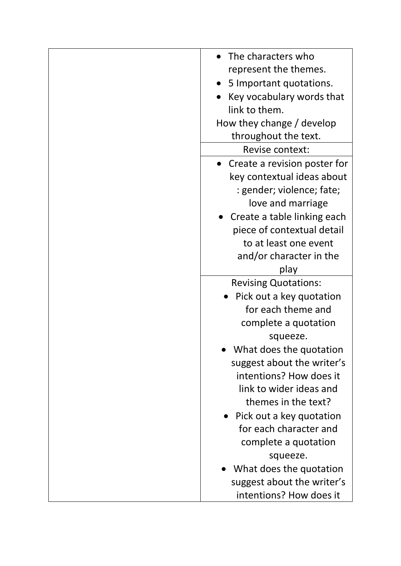| The characters who           |
|------------------------------|
| represent the themes.        |
| 5 Important quotations.      |
| Key vocabulary words that    |
| link to them.                |
| How they change / develop    |
| throughout the text.         |
| Revise context:              |
| Create a revision poster for |
| key contextual ideas about   |
| : gender; violence; fate;    |
| love and marriage            |
| Create a table linking each  |
| piece of contextual detail   |
| to at least one event        |
| and/or character in the      |
| play                         |
| <b>Revising Quotations:</b>  |
| Pick out a key quotation     |
| for each theme and           |
| complete a quotation         |
| squeeze.                     |
| What does the quotation      |
| suggest about the writer's   |
| intentions? How does it      |
| link to wider ideas and      |
| themes in the text?          |
| • Pick out a key quotation   |
| for each character and       |
| complete a quotation         |
| squeeze.                     |
| What does the quotation      |
| suggest about the writer's   |
| intentions? How does it      |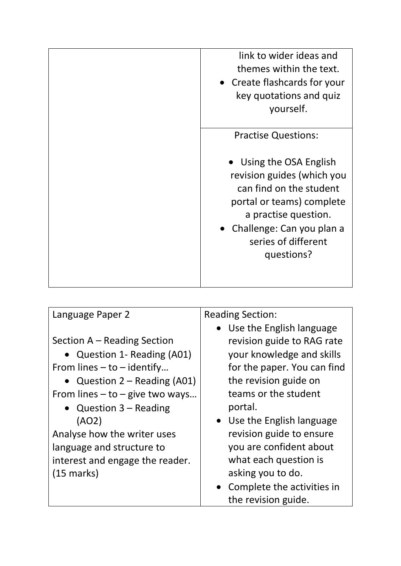| link to wider ideas and<br>themes within the text.<br>• Create flashcards for your<br>key quotations and quiz<br>yourself.                                                                              |
|---------------------------------------------------------------------------------------------------------------------------------------------------------------------------------------------------------|
| <b>Practise Questions:</b>                                                                                                                                                                              |
| Using the OSA English<br>revision guides (which you<br>can find on the student<br>portal or teams) complete<br>a practise question.<br>• Challenge: Can you plan a<br>series of different<br>questions? |
|                                                                                                                                                                                                         |

| Language Paper 2                    | <b>Reading Section:</b>               |
|-------------------------------------|---------------------------------------|
|                                     | • Use the English language            |
| Section A – Reading Section         | revision guide to RAG rate            |
| • Question 1- Reading (A01)         | your knowledge and skills             |
| From lines $-$ to $-$ identify      | for the paper. You can find           |
| • Question $2 -$ Reading (A01)      | the revision guide on                 |
| From lines $-$ to $-$ give two ways | teams or the student                  |
| • Question $3 -$ Reading            | portal.                               |
| (AO2)                               | Use the English language<br>$\bullet$ |
| Analyse how the writer uses         | revision guide to ensure              |
| language and structure to           | you are confident about               |
| interest and engage the reader.     | what each question is                 |
| $(15 \text{ marks})$                | asking you to do.                     |
|                                     | Complete the activities in            |
|                                     | the revision guide.                   |